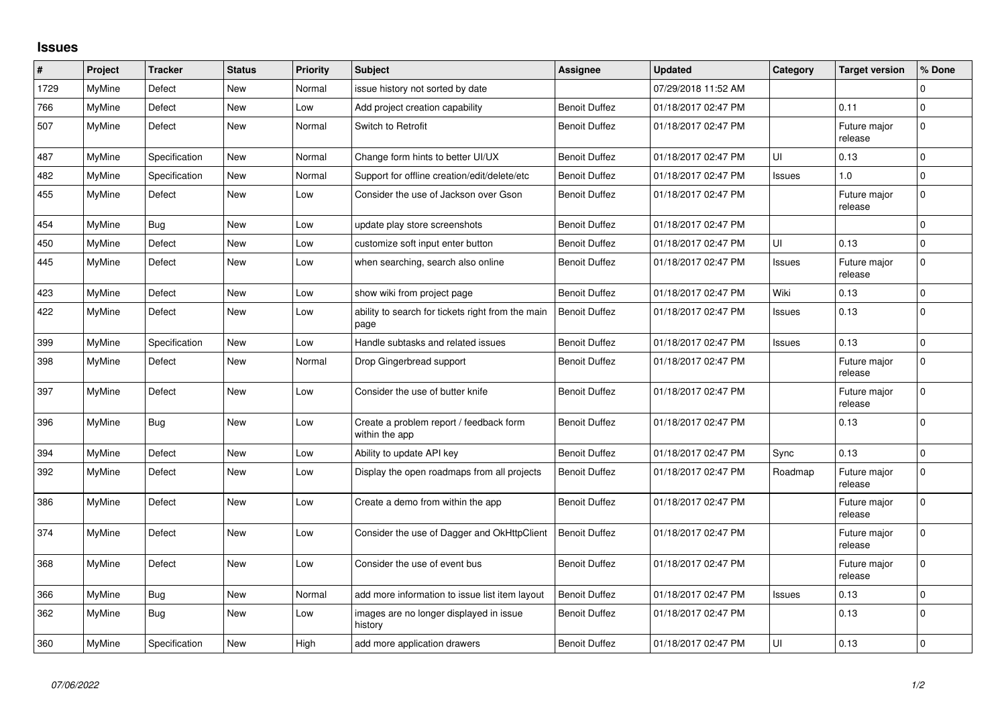## **Issues**

| $\#$ | Project       | <b>Tracker</b> | <b>Status</b> | <b>Priority</b> | <b>Subject</b>                                            | Assignee             | <b>Updated</b>      | Category | <b>Target version</b>   | % Done      |
|------|---------------|----------------|---------------|-----------------|-----------------------------------------------------------|----------------------|---------------------|----------|-------------------------|-------------|
| 1729 | MyMine        | Defect         | <b>New</b>    | Normal          | issue history not sorted by date                          |                      | 07/29/2018 11:52 AM |          |                         | $\Omega$    |
| 766  | MyMine        | Defect         | New           | Low             | Add project creation capability                           | <b>Benoit Duffez</b> | 01/18/2017 02:47 PM |          | 0.11                    | $\Omega$    |
| 507  | MyMine        | Defect         | <b>New</b>    | Normal          | Switch to Retrofit                                        | <b>Benoit Duffez</b> | 01/18/2017 02:47 PM |          | Future major<br>release | $\Omega$    |
| 487  | <b>MyMine</b> | Specification  | <b>New</b>    | Normal          | Change form hints to better UI/UX                         | <b>Benoit Duffez</b> | 01/18/2017 02:47 PM | UI       | 0.13                    | $\mathbf 0$ |
| 482  | <b>MyMine</b> | Specification  | New           | Normal          | Support for offline creation/edit/delete/etc              | <b>Benoit Duffez</b> | 01/18/2017 02:47 PM | Issues   | $1.0$                   | $\mathbf 0$ |
| 455  | MyMine        | Defect         | New           | Low             | Consider the use of Jackson over Gson                     | <b>Benoit Duffez</b> | 01/18/2017 02:47 PM |          | Future major<br>release | $\Omega$    |
| 454  | MyMine        | Bug            | New           | Low             | update play store screenshots                             | <b>Benoit Duffez</b> | 01/18/2017 02:47 PM |          |                         | $\mathbf 0$ |
| 450  | MyMine        | Defect         | <b>New</b>    | Low             | customize soft input enter button                         | <b>Benoit Duffez</b> | 01/18/2017 02:47 PM | UI       | 0.13                    | $\Omega$    |
| 445  | MyMine        | Defect         | New           | Low             | when searching, search also online                        | <b>Benoit Duffez</b> | 01/18/2017 02:47 PM | Issues   | Future major<br>release | $\Omega$    |
| 423  | MyMine        | Defect         | New           | Low             | show wiki from project page                               | <b>Benoit Duffez</b> | 01/18/2017 02:47 PM | Wiki     | 0.13                    | $\Omega$    |
| 422  | MyMine        | Defect         | <b>New</b>    | Low             | ability to search for tickets right from the main<br>page | <b>Benoit Duffez</b> | 01/18/2017 02:47 PM | Issues   | 0.13                    | $\Omega$    |
| 399  | MyMine        | Specification  | <b>New</b>    | Low             | Handle subtasks and related issues                        | <b>Benoit Duffez</b> | 01/18/2017 02:47 PM | Issues   | 0.13                    | $\Omega$    |
| 398  | MyMine        | Defect         | New           | Normal          | Drop Gingerbread support                                  | <b>Benoit Duffez</b> | 01/18/2017 02:47 PM |          | Future major<br>release | $\Omega$    |
| 397  | MyMine        | Defect         | <b>New</b>    | Low             | Consider the use of butter knife                          | <b>Benoit Duffez</b> | 01/18/2017 02:47 PM |          | Future major<br>release | $\Omega$    |
| 396  | MyMine        | Bug            | New           | Low             | Create a problem report / feedback form<br>within the app | <b>Benoit Duffez</b> | 01/18/2017 02:47 PM |          | 0.13                    | $\Omega$    |
| 394  | MyMine        | Defect         | <b>New</b>    | Low             | Ability to update API key                                 | <b>Benoit Duffez</b> | 01/18/2017 02:47 PM | Sync     | 0.13                    | $\Omega$    |
| 392  | MyMine        | Defect         | New           | Low             | Display the open roadmaps from all projects               | <b>Benoit Duffez</b> | 01/18/2017 02:47 PM | Roadmap  | Future major<br>release | $\Omega$    |
| 386  | MyMine        | Defect         | <b>New</b>    | Low             | Create a demo from within the app                         | <b>Benoit Duffez</b> | 01/18/2017 02:47 PM |          | Future major<br>release | $\Omega$    |
| 374  | MyMine        | Defect         | New           | Low             | Consider the use of Dagger and OkHttpClient               | Benoit Duffez        | 01/18/2017 02:47 PM |          | Future major<br>release | $\Omega$    |
| 368  | MyMine        | Defect         | <b>New</b>    | Low             | Consider the use of event bus                             | <b>Benoit Duffez</b> | 01/18/2017 02:47 PM |          | Future major<br>release | $\Omega$    |
| 366  | <b>MyMine</b> | Bug            | New           | Normal          | add more information to issue list item layout            | <b>Benoit Duffez</b> | 01/18/2017 02:47 PM | Issues   | 0.13                    | 0           |
| 362  | MyMine        | Bug            | <b>New</b>    | Low             | images are no longer displayed in issue<br>history        | <b>Benoit Duffez</b> | 01/18/2017 02:47 PM |          | 0.13                    | $\Omega$    |
| 360  | MyMine        | Specification  | New           | High            | add more application drawers                              | <b>Benoit Duffez</b> | 01/18/2017 02:47 PM | UI       | 0.13                    | $\Omega$    |